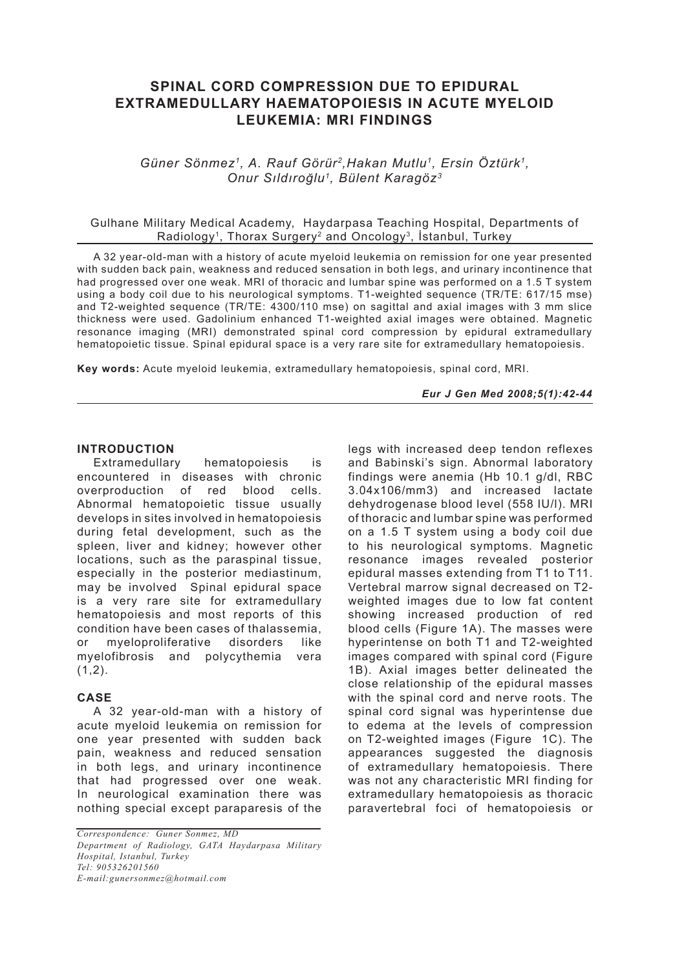# **SPINAL CORD COMPRESSION DUE TO EPIDURAL EXTRAMEDULLARY HAEMATOPOIESIS IN ACUTE MYELOID LEUKEMIA: MRI FINDINGS**

*Güner Sönmez1, A. Rauf Görür2,Hakan Mutlu1, Ersin Öztürk1, Onur Sıldıroğlu1, Bülent Karagöz3*

#### Gulhane Military Medical Academy, Haydarpasa Teaching Hospital, Departments of Radiology1, Thorax Surgery2 and Oncology3, İstanbul, Turkey

A 32 year-old-man with a history of acute myeloid leukemia on remission for one year presented with sudden back pain, weakness and reduced sensation in both legs, and urinary incontinence that had progressed over one weak. MRI of thoracic and lumbar spine was performed on a 1.5 T system using a body coil due to his neurological symptoms. T1-weighted sequence (TR/TE: 617/15 mse) and T2-weighted sequence (TR/TE: 4300/110 mse) on sagittal and axial images with 3 mm slice thickness were used. Gadolinium enhanced T1-weighted axial images were obtained. Magnetic resonance imaging (MRI) demonstrated spinal cord compression by epidural extramedullary hematopoietic tissue. Spinal epidural space is a very rare site for extramedullary hematopoiesis.

**Key words:** Acute myeloid leukemia, extramedullary hematopoiesis, spinal cord, MRI.

*Eur J Gen Med 2008;5(1):42-44*

### **INTRODUCTION**

Extramedullary hematopoiesis is encountered in diseases with chronic overproduction of red blood cells. Abnormal hematopoietic tissue usually develops in sites involved in hematopoiesis during fetal development, such as the spleen, liver and kidney; however other locations, such as the paraspinal tissue, especially in the posterior mediastinum, may be involved Spinal epidural space is a very rare site for extramedullary hematopoiesis and most reports of this condition have been cases of thalassemia, or myeloproliferative disorders like myelofibrosis and polycythemia vera  $(1,2)$ .

#### **CASE**

A 32 year-old-man with a history of acute myeloid leukemia on remission for one year presented with sudden back pain, weakness and reduced sensation in both legs, and urinary incontinence that had progressed over one weak. In neurological examination there was nothing special except paraparesis of the legs with increased deep tendon reflexes and Babinski's sign. Abnormal laboratory findings were anemia (Hb 10.1 g/dl, RBC 3.04x106/mm3) and increased lactate dehydrogenase blood level (558 IU/l). MRI of thoracic and lumbar spine was performed on a 1.5 T system using a body coil due to his neurological symptoms. Magnetic resonance images revealed posterior epidural masses extending from T1 to T11. Vertebral marrow signal decreased on T2 weighted images due to low fat content showing increased production of red blood cells (Figure 1A). The masses were hyperintense on both T1 and T2-weighted images compared with spinal cord (Figure 1B). Axial images better delineated the close relationship of the epidural masses with the spinal cord and nerve roots. The spinal cord signal was hyperintense due to edema at the levels of compression on T2-weighted images (Figure 1C). The appearances suggested the diagnosis of extramedullary hematopoiesis. There was not any characteristic MRI finding for extramedullary hematopoiesis as thoracic paravertebral foci of hematopoiesis or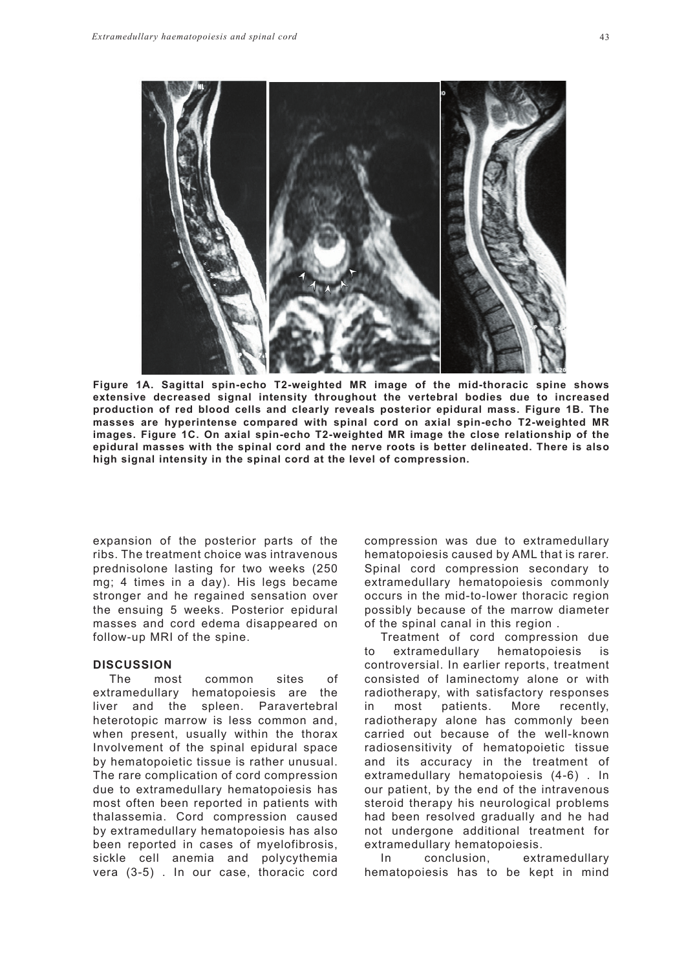

**Figure 1A. Sagittal spin-echo T2-weighted MR image of the mid-thoracic spine shows extensive decreased signal intensity throughout the vertebral bodies due to increased production of red blood cells and clearly reveals posterior epidural mass. Figure 1B. The masses are hyperintense compared with spinal cord on axial spin-echo T2-weighted MR images. Figure 1C. On axial spin-echo T2-weighted MR image the close relationship of the epidural masses with the spinal cord and the nerve roots is better delineated. There is also high signal intensity in the spinal cord at the level of compression.**

expansion of the posterior parts of the ribs. The treatment choice was intravenous prednisolone lasting for two weeks (250 mg; 4 times in a day). His legs became stronger and he regained sensation over the ensuing 5 weeks. Posterior epidural masses and cord edema disappeared on follow-up MRI of the spine.

## **DISCUSSION**

The most common sites of extramedullary hematopoiesis are the liver and the spleen. Paravertebral heterotopic marrow is less common and, when present, usually within the thorax Involvement of the spinal epidural space by hematopoietic tissue is rather unusual. The rare complication of cord compression due to extramedullary hematopoiesis has most often been reported in patients with thalassemia. Cord compression caused by extramedullary hematopoiesis has also been reported in cases of myelofibrosis, sickle cell anemia and polycythemia vera (3-5) . In our case, thoracic cord compression was due to extramedullary hematopoiesis caused by AML that is rarer. Spinal cord compression secondary to extramedullary hematopoiesis commonly occurs in the mid-to-lower thoracic region possibly because of the marrow diameter of the spinal canal in this region .

Treatment of cord compression due to extramedullary hematopoiesis is controversial. In earlier reports, treatment consisted of laminectomy alone or with radiotherapy, with satisfactory responses in most patients. More recently, radiotherapy alone has commonly been carried out because of the well-known radiosensitivity of hematopoietic tissue and its accuracy in the treatment of extramedullary hematopoiesis (4-6) . In our patient, by the end of the intravenous steroid therapy his neurological problems had been resolved gradually and he had not undergone additional treatment for extramedullary hematopoiesis.

In conclusion, extramedullary hematopoiesis has to be kept in mind